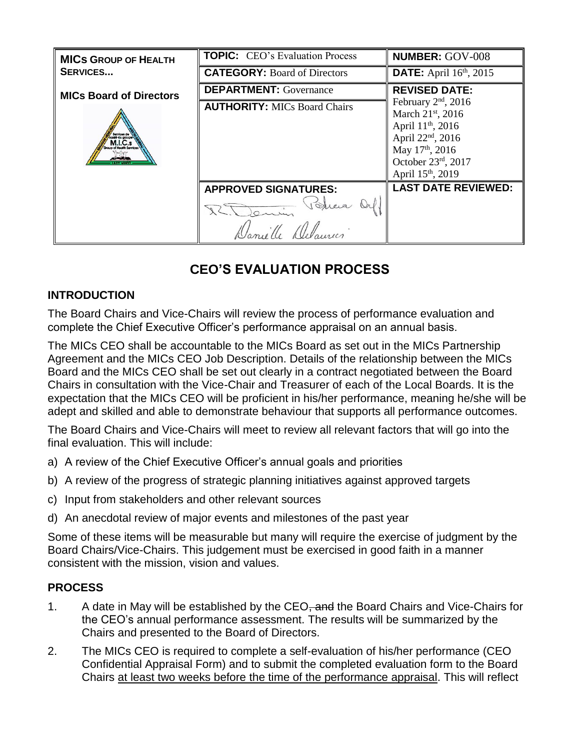| <b>MICS GROUP OF HEALTH</b>    | <b>TOPIC:</b> CEO's Evaluation Process | <b>NUMBER: GOV-008</b>                                                                                                                                                                                                                 |  |
|--------------------------------|----------------------------------------|----------------------------------------------------------------------------------------------------------------------------------------------------------------------------------------------------------------------------------------|--|
| <b>SERVICES</b>                | <b>CATEGORY: Board of Directors</b>    | <b>DATE:</b> April 16 <sup>th</sup> , 2015                                                                                                                                                                                             |  |
| <b>MICs Board of Directors</b> | <b>DEPARTMENT:</b> Governance          | <b>REVISED DATE:</b><br>February $2nd$ , 2016<br>March 21 <sup>st</sup> , 2016<br>April 11 <sup>th</sup> , 2016<br>April 22 <sup>nd</sup> , 2016<br>May 17 <sup>th</sup> , 2016<br>October 23rd, 2017<br>April 15 <sup>th</sup> , 2019 |  |
|                                | <b>AUTHORITY: MICs Board Chairs</b>    |                                                                                                                                                                                                                                        |  |
|                                | <b>APPROVED SIGNATURES:</b>            | <b>LAST DATE REVIEWED:</b>                                                                                                                                                                                                             |  |
|                                | Verreis<br>R. Denin                    |                                                                                                                                                                                                                                        |  |
|                                | Domille Delaures                       |                                                                                                                                                                                                                                        |  |

# **CEO'S EVALUATION PROCESS**

## **INTRODUCTION**

The Board Chairs and Vice-Chairs will review the process of performance evaluation and complete the Chief Executive Officer's performance appraisal on an annual basis.

The MICs CEO shall be accountable to the MICs Board as set out in the MICs Partnership Agreement and the MICs CEO Job Description. Details of the relationship between the MICs Board and the MICs CEO shall be set out clearly in a contract negotiated between the Board Chairs in consultation with the Vice-Chair and Treasurer of each of the Local Boards. It is the expectation that the MICs CEO will be proficient in his/her performance, meaning he/she will be adept and skilled and able to demonstrate behaviour that supports all performance outcomes.

The Board Chairs and Vice-Chairs will meet to review all relevant factors that will go into the final evaluation. This will include:

- a) A review of the Chief Executive Officer's annual goals and priorities
- b) A review of the progress of strategic planning initiatives against approved targets
- c) Input from stakeholders and other relevant sources
- d) An anecdotal review of major events and milestones of the past year

Some of these items will be measurable but many will require the exercise of judgment by the Board Chairs/Vice-Chairs. This judgement must be exercised in good faith in a manner consistent with the mission, vision and values.

## **PROCESS**

- 1. A date in May will be established by the CEO, and the Board Chairs and Vice-Chairs for the CEO's annual performance assessment. The results will be summarized by the Chairs and presented to the Board of Directors.
- 2. The MICs CEO is required to complete a self-evaluation of his/her performance (CEO Confidential Appraisal Form) and to submit the completed evaluation form to the Board Chairs at least two weeks before the time of the performance appraisal. This will reflect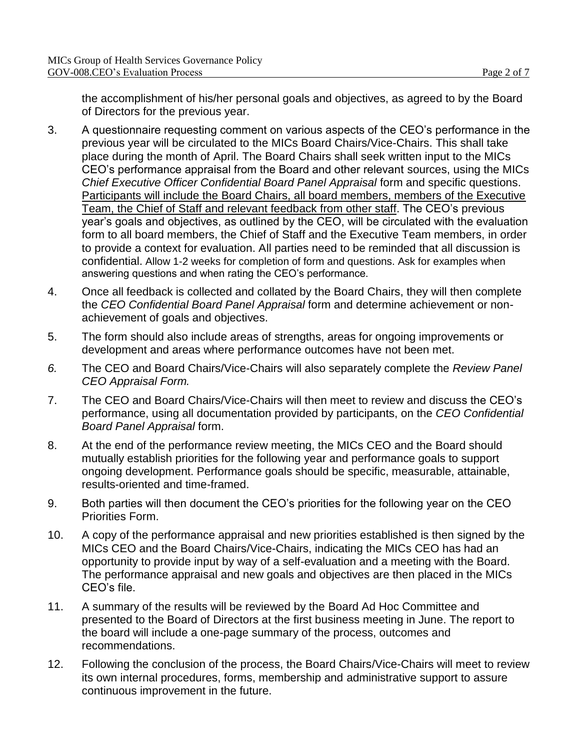the accomplishment of his/her personal goals and objectives, as agreed to by the Board of Directors for the previous year.

- 3. A questionnaire requesting comment on various aspects of the CEO's performance in the previous year will be circulated to the MICs Board Chairs/Vice-Chairs. This shall take place during the month of April. The Board Chairs shall seek written input to the MICs CEO's performance appraisal from the Board and other relevant sources, using the MICs *Chief Executive Officer Confidential Board Panel Appraisal* form and specific questions. Participants will include the Board Chairs, all board members, members of the Executive Team, the Chief of Staff and relevant feedback from other staff. The CEO's previous year's goals and objectives, as outlined by the CEO, will be circulated with the evaluation form to all board members, the Chief of Staff and the Executive Team members, in order to provide a context for evaluation. All parties need to be reminded that all discussion is confidential. Allow 1-2 weeks for completion of form and questions. Ask for examples when answering questions and when rating the CEO's performance.
- 4. Once all feedback is collected and collated by the Board Chairs, they will then complete the *CEO Confidential Board Panel Appraisal* form and determine achievement or nonachievement of goals and objectives.
- 5. The form should also include areas of strengths, areas for ongoing improvements or development and areas where performance outcomes have not been met.
- *6.* The CEO and Board Chairs/Vice-Chairs will also separately complete the *Review Panel CEO Appraisal Form.*
- 7. The CEO and Board Chairs/Vice-Chairs will then meet to review and discuss the CEO's performance, using all documentation provided by participants, on the *CEO Confidential Board Panel Appraisal* form.
- 8. At the end of the performance review meeting, the MICs CEO and the Board should mutually establish priorities for the following year and performance goals to support ongoing development. Performance goals should be specific, measurable, attainable, results-oriented and time-framed.
- 9. Both parties will then document the CEO's priorities for the following year on the CEO Priorities Form.
- 10. A copy of the performance appraisal and new priorities established is then signed by the MICs CEO and the Board Chairs/Vice-Chairs, indicating the MICs CEO has had an opportunity to provide input by way of a self-evaluation and a meeting with the Board. The performance appraisal and new goals and objectives are then placed in the MICs CEO's file.
- 11. A summary of the results will be reviewed by the Board Ad Hoc Committee and presented to the Board of Directors at the first business meeting in June. The report to the board will include a one-page summary of the process, outcomes and recommendations.
- 12. Following the conclusion of the process, the Board Chairs/Vice-Chairs will meet to review its own internal procedures, forms, membership and administrative support to assure continuous improvement in the future.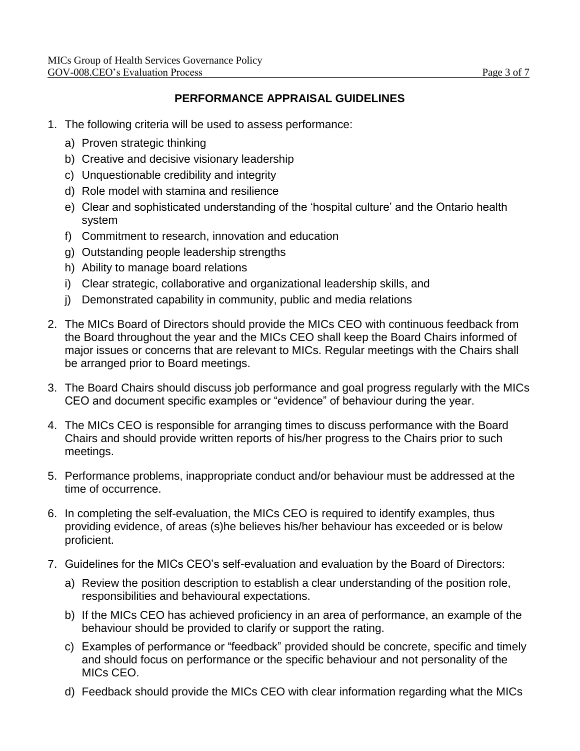## **PERFORMANCE APPRAISAL GUIDELINES**

- 1. The following criteria will be used to assess performance:
	- a) Proven strategic thinking
	- b) Creative and decisive visionary leadership
	- c) Unquestionable credibility and integrity
	- d) Role model with stamina and resilience
	- e) Clear and sophisticated understanding of the 'hospital culture' and the Ontario health system
	- f) Commitment to research, innovation and education
	- g) Outstanding people leadership strengths
	- h) Ability to manage board relations
	- i) Clear strategic, collaborative and organizational leadership skills, and
	- j) Demonstrated capability in community, public and media relations
- 2. The MICs Board of Directors should provide the MICs CEO with continuous feedback from the Board throughout the year and the MICs CEO shall keep the Board Chairs informed of major issues or concerns that are relevant to MICs. Regular meetings with the Chairs shall be arranged prior to Board meetings.
- 3. The Board Chairs should discuss job performance and goal progress regularly with the MICs CEO and document specific examples or "evidence" of behaviour during the year.
- 4. The MICs CEO is responsible for arranging times to discuss performance with the Board Chairs and should provide written reports of his/her progress to the Chairs prior to such meetings.
- 5. Performance problems, inappropriate conduct and/or behaviour must be addressed at the time of occurrence.
- 6. In completing the self-evaluation, the MICs CEO is required to identify examples, thus providing evidence, of areas (s)he believes his/her behaviour has exceeded or is below proficient.
- 7. Guidelines for the MICs CEO's self-evaluation and evaluation by the Board of Directors:
	- a) Review the position description to establish a clear understanding of the position role, responsibilities and behavioural expectations.
	- b) If the MICs CEO has achieved proficiency in an area of performance, an example of the behaviour should be provided to clarify or support the rating.
	- c) Examples of performance or "feedback" provided should be concrete, specific and timely and should focus on performance or the specific behaviour and not personality of the MICs CEO.
	- d) Feedback should provide the MICs CEO with clear information regarding what the MICs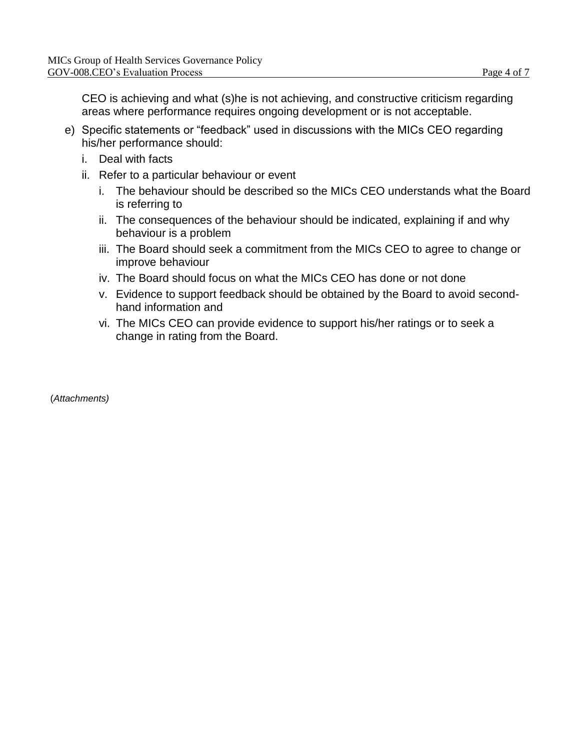CEO is achieving and what (s)he is not achieving, and constructive criticism regarding areas where performance requires ongoing development or is not acceptable.

- e) Specific statements or "feedback" used in discussions with the MICs CEO regarding his/her performance should:
	- i. Deal with facts
	- ii. Refer to a particular behaviour or event
		- i. The behaviour should be described so the MICs CEO understands what the Board is referring to
		- ii. The consequences of the behaviour should be indicated, explaining if and why behaviour is a problem
		- iii. The Board should seek a commitment from the MICs CEO to agree to change or improve behaviour
		- iv. The Board should focus on what the MICs CEO has done or not done
		- v. Evidence to support feedback should be obtained by the Board to avoid secondhand information and
		- vi. The MICs CEO can provide evidence to support his/her ratings or to seek a change in rating from the Board.

(*Attachments)*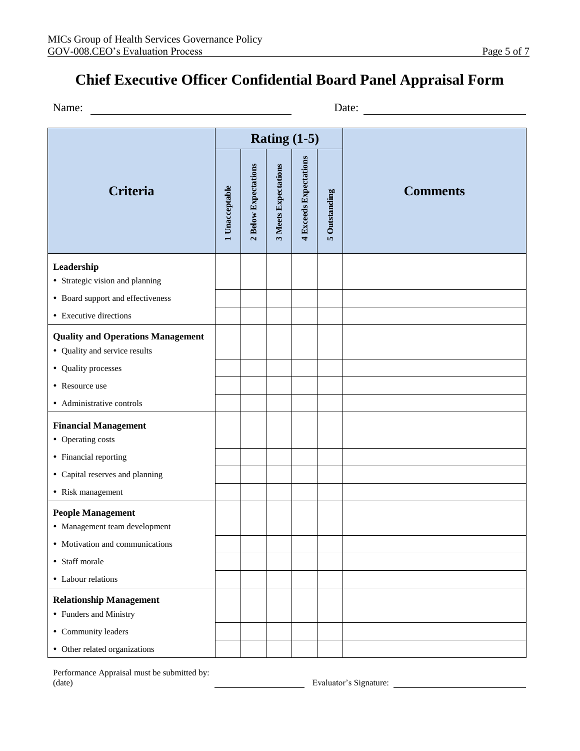# **Chief Executive Officer Confidential Board Panel Appraisal Form**

| Date: |
|-------|
|       |

| <b>Criteria</b>                                                           |  |                      |                             | Rating $(1-5)$         |               |                 |  |
|---------------------------------------------------------------------------|--|----------------------|-----------------------------|------------------------|---------------|-----------------|--|
|                                                                           |  | 2 Below Expectations | <b>3 Meets Expectations</b> | 4 Exceeds Expectations | 5 Outstanding | <b>Comments</b> |  |
| Leadership<br>• Strategic vision and planning                             |  |                      |                             |                        |               |                 |  |
| • Board support and effectiveness<br>• Executive directions               |  |                      |                             |                        |               |                 |  |
| <b>Quality and Operations Management</b><br>• Quality and service results |  |                      |                             |                        |               |                 |  |
| • Quality processes                                                       |  |                      |                             |                        |               |                 |  |
| • Resource use                                                            |  |                      |                             |                        |               |                 |  |
| • Administrative controls                                                 |  |                      |                             |                        |               |                 |  |
| <b>Financial Management</b><br>• Operating costs                          |  |                      |                             |                        |               |                 |  |
| • Financial reporting                                                     |  |                      |                             |                        |               |                 |  |
| • Capital reserves and planning                                           |  |                      |                             |                        |               |                 |  |
| • Risk management                                                         |  |                      |                             |                        |               |                 |  |
| <b>People Management</b><br>• Management team development                 |  |                      |                             |                        |               |                 |  |
| • Motivation and communications                                           |  |                      |                             |                        |               |                 |  |
| • Staff morale                                                            |  |                      |                             |                        |               |                 |  |
| • Labour relations                                                        |  |                      |                             |                        |               |                 |  |
| <b>Relationship Management</b><br>• Funders and Ministry                  |  |                      |                             |                        |               |                 |  |
| • Community leaders                                                       |  |                      |                             |                        |               |                 |  |
| • Other related organizations                                             |  |                      |                             |                        |               |                 |  |

Performance Appraisal must be submitted by: (date) The Contract of the Contract of the Evaluator's Signature: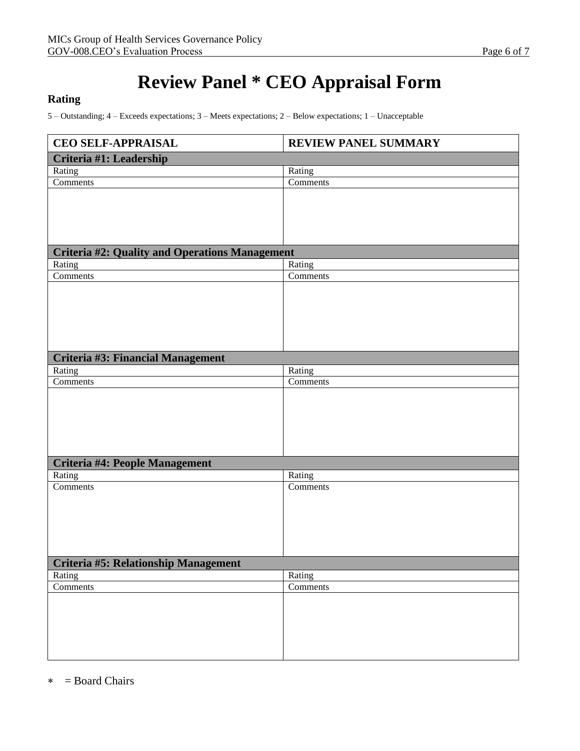# **Review Panel \* CEO Appraisal Form**

#### **Rating**

5 – Outstanding; 4 – Exceeds expectations; 3 – Meets expectations; 2 – Below expectations; 1 – Unacceptable

| <b>CEO SELF-APPRAISAL</b>                             | <b>REVIEW PANEL SUMMARY</b> |  |  |  |  |
|-------------------------------------------------------|-----------------------------|--|--|--|--|
| Criteria #1: Leadership                               |                             |  |  |  |  |
| Rating                                                | Rating                      |  |  |  |  |
| Comments                                              | Comments                    |  |  |  |  |
|                                                       |                             |  |  |  |  |
|                                                       |                             |  |  |  |  |
|                                                       |                             |  |  |  |  |
|                                                       |                             |  |  |  |  |
| <b>Criteria #2: Quality and Operations Management</b> |                             |  |  |  |  |
| Rating                                                | Rating                      |  |  |  |  |
| Comments                                              | Comments                    |  |  |  |  |
|                                                       |                             |  |  |  |  |
|                                                       |                             |  |  |  |  |
|                                                       |                             |  |  |  |  |
|                                                       |                             |  |  |  |  |
|                                                       |                             |  |  |  |  |
|                                                       |                             |  |  |  |  |
| Criteria #3: Financial Management                     |                             |  |  |  |  |
| Rating<br>$\overline{\text{Comments}}$                | Rating<br>Comments          |  |  |  |  |
|                                                       |                             |  |  |  |  |
|                                                       |                             |  |  |  |  |
|                                                       |                             |  |  |  |  |
|                                                       |                             |  |  |  |  |
|                                                       |                             |  |  |  |  |
|                                                       |                             |  |  |  |  |
| Criteria #4: People Management                        |                             |  |  |  |  |
| Rating                                                | Rating                      |  |  |  |  |
| Comments                                              | Comments                    |  |  |  |  |
|                                                       |                             |  |  |  |  |
|                                                       |                             |  |  |  |  |
|                                                       |                             |  |  |  |  |
|                                                       |                             |  |  |  |  |
|                                                       |                             |  |  |  |  |
| <b>Criteria #5: Relationship Management</b>           |                             |  |  |  |  |
| Rating                                                | Rating<br>Comments          |  |  |  |  |
| Comments                                              |                             |  |  |  |  |
|                                                       |                             |  |  |  |  |
|                                                       |                             |  |  |  |  |
|                                                       |                             |  |  |  |  |
|                                                       |                             |  |  |  |  |
|                                                       |                             |  |  |  |  |

 $\ast$  = Board Chairs